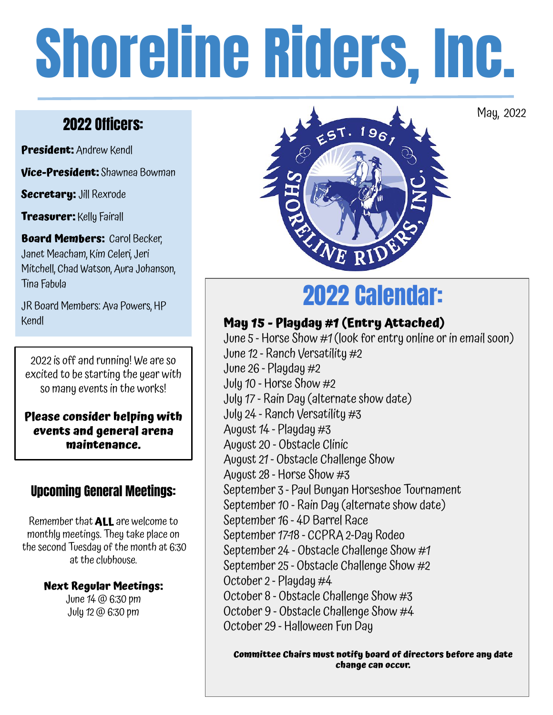# Shoreline Riders, Inc.

### 2022 Officers:

**President:** Andrew Kendl

**Vice-President:** Shawnea Bowman

**Secretary:** Jill Rexrode

**Treasurer:** Kelly Fairall

**Board Members: Carol Becker,** Janet Meacham, Kim Celeri, Jeri Mitchell, Chad Watson, Aura Johanson, Tina Fabula

JR Board Members: Ava Powers, HP Kendl

2022 is off and running! We are so excited to be starting the year with so many events in the works!

**Please consider helping with events and general arena maintenance.**

#### Upcoming General Meetings:

Remember that **ALL** are welcome to monthly meetings. They take place on the second Tuesday of the month at 6:30 at the clubhouse.

#### **Next Regular Meetings:**

June 14 @ 6:30 pm July 12 @ 6:30 pm



May, 2022

## 2022 Calendar:

#### **May 15 - Playday #1 (Entry Attached)**

June 5 - Horse Show #1 (look for entry online or in email soon) June 12 - Ranch Versatility #2 June 26 - Playday #2 July 10 - Horse Show #2 July 17 - Rain Day (alternate show date) July 24 - Ranch Versatility #3 August 14 - Playday #3 August 20 - Obstacle Clinic August 21 - Obstacle Challenge Show August 28 - Horse Show #3 September 3 - Paul Bunyan Horseshoe Tournament September 10 - Rain Day (alternate show date) September 16 - 4D Barrel Race September 17-18 - CCPRA 2-Day Rodeo September 24 - Obstacle Challenge Show #1 September 25 - Obstacle Challenge Show #2 October 2 - Playday #4 October 8 - Obstacle Challenge Show #3 October 9 - Obstacle Challenge Show #4 October 29 - Halloween Fun Day

**Committee Chairs must notify board of directors before any date change can occur.**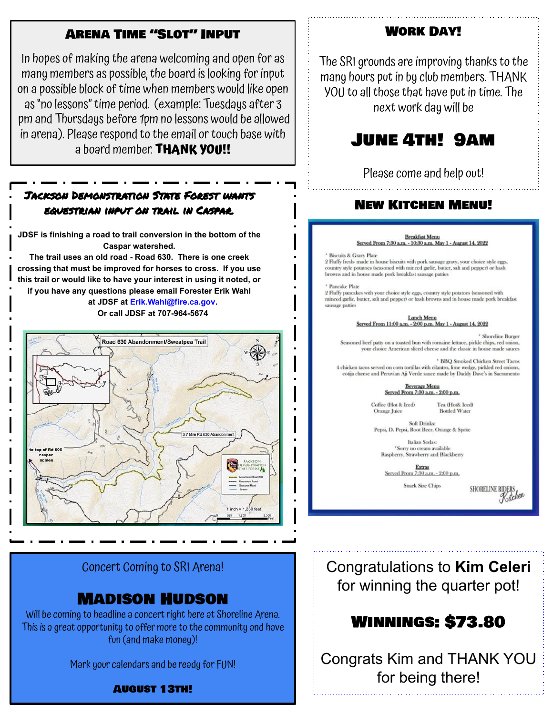#### Arena Time "Slot" Input

In hopes of making the arena welcoming and open for as many members as possible, the board is looking for input on a possible block of time when members would like open as "no lessons" time period. (example: Tuesdays after 3 pm and Thursdays before 1pm no lessons would be allowed in arena). Please respond to the email or touch base with a board member. **THANK YOU!!**

#### Jackson Demonstration State Forest wants equestrian input on trail in Caspar.

**JDSF is finishing a road to trail conversion in the bottom of the Caspar watershed.**

**The trail uses an old road - Road 630. There is one creek crossing that must be improved for horses to cross. If you use this trail or would like to have your interest in using it noted, or if you have any questions please email Forester Erik Wahl**

> **at JDSF at Erik.Wahl@fire.ca.gov. Or call JDSF at 707-964-5674**



#### Concert Coming to SRI Arena!

#### Madison Hudson

Will be coming to headline a concert right here at Shoreline Arena. This is a great opportunity to offer more to the community and have fun (and make money)!

Mark your calendars and be ready for FUN!

August 13th!

Work Day!

The SRI grounds are improving thanks to the many hours put in by club members. THANK YOU to all those that have put in time. The next work day will be

#### June 4th! 9am

Please come and help out!

#### New Kitchen Menu!

#### **Breakfast Menu** Served From 7:30 a.m. - 10:30 a.m. May 1 - August 14, 2022

**Biscuits & Gravy Plate** 

2 Fluffy fresh- made in house biscuits with pork sausage gravy, your choice style eggs, country style potatoes (seasoned with minced garlic, butter, salt and pepper) or hash browns and in house made pork breakfast sausage patties

Pancake Plate

2 Fluffy pancakes with your choice style eggs, country style potatoes (seasoned with minced garlic, butter, salt and pepper) or hash browns and in house made pork breakfast sausage patties

> Lunch Menu Served From 11:00 a.m. - 2:00 p.m. May 1 - August 14, 2022

> > \* Shoreline Burger

asoned beef patty on a toasted bun with romaine lettuce, pickle chips, red onion, your choice American sliced cheese and the classic in house made sauces

\* BBQ Smoked Chicken Street Tacos 4 chicken tacos served on corn tortillas with cilantro, lime wedge, pickled red onions, cotija cheese and Peruvian Aji Verde sauce made by Daddy Dave's in Sacramento

> **Beverage Menu** Served From 7:30 a.m. - 2:00 p.m.

Coffee (Hot & Iced) Orange Juice

Tea (Hot& lced) **Bottled Water** 

Soft Drinks: Pepsi, D. Pepsi, Root Beer, Orange & Sprite

Italian Sodas: \*Sorry no cream available Raspberry, Strawberry and Blackberry

Extras Served From 7:30 a.m. - 2:00 p.m.

**Snack Size Chips** 



Congratulations to **Kim Celeri** for winning the quarter pot!

#### Winnings: \$73.80

Congrats Kim and THANK YOU for being there!